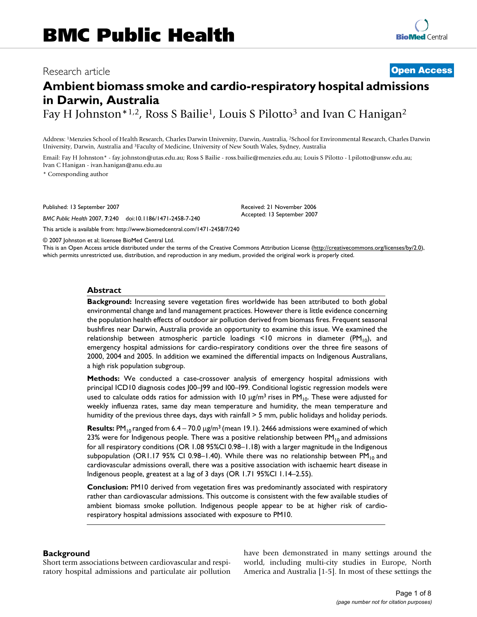# Research article **[Open Access](http://www.biomedcentral.com/info/about/charter/)**

# **Ambient biomass smoke and cardio-respiratory hospital admissions in Darwin, Australia**

Fay H Johnston<sup>\*1,2</sup>, Ross S Bailie<sup>1</sup>, Louis S Pilotto<sup>3</sup> and Ivan C Hanigan<sup>2</sup>

Address: 1Menzies School of Health Research, Charles Darwin University, Darwin, Australia, 2School for Environmental Research, Charles Darwin University, Darwin, Australia and 3Faculty of Medicine, University of New South Wales, Sydney, Australia

Email: Fay H Johnston\* - fay.johnston@utas.edu.au; Ross S Bailie - ross.bailie@menzies.edu.au; Louis S Pilotto - l.pilotto@unsw.edu.au; Ivan C Hanigan - ivan.hanigan@anu.edu.au

\* Corresponding author

Published: 13 September 2007

*BMC Public Health* 2007, **7**:240 doi:10.1186/1471-2458-7-240

Received: 21 November 2006 Accepted: 13 September 2007

[This article is available from: http://www.biomedcentral.com/1471-2458/7/240](http://www.biomedcentral.com/1471-2458/7/240)

© 2007 Johnston et al; licensee BioMed Central Ltd.

This is an Open Access article distributed under the terms of the Creative Commons Attribution License [\(http://creativecommons.org/licenses/by/2.0\)](http://creativecommons.org/licenses/by/2.0), which permits unrestricted use, distribution, and reproduction in any medium, provided the original work is properly cited.

#### **Abstract**

**Background:** Increasing severe vegetation fires worldwide has been attributed to both global environmental change and land management practices. However there is little evidence concerning the population health effects of outdoor air pollution derived from biomass fires. Frequent seasonal bushfires near Darwin, Australia provide an opportunity to examine this issue. We examined the relationship between atmospheric particle loadings <10 microns in diameter  $(PM_{10})$ , and emergency hospital admissions for cardio-respiratory conditions over the three fire seasons of 2000, 2004 and 2005. In addition we examined the differential impacts on Indigenous Australians, a high risk population subgroup.

**Methods:** We conducted a case-crossover analysis of emergency hospital admissions with principal ICD10 diagnosis codes J00–J99 and I00–I99. Conditional logistic regression models were used to calculate odds ratios for admission with 10  $\mu g/m^3$  rises in PM<sub>10</sub>. These were adjusted for weekly influenza rates, same day mean temperature and humidity, the mean temperature and humidity of the previous three days, days with rainfall > 5 mm, public holidays and holiday periods.

**Results:** PM<sub>10</sub> ranged from 6.4 – 70.0  $\mu$ g/m<sup>3</sup> (mean 19.1). 2466 admissions were examined of which 23% were for Indigenous people. There was a positive relationship between  $PM_{10}$  and admissions for all respiratory conditions (OR 1.08 95%CI 0.98–1.18) with a larger magnitude in the Indigenous subpopulation (OR1.17 95% CI 0.98–1.40). While there was no relationship between  $PM_{10}$  and cardiovascular admissions overall, there was a positive association with ischaemic heart disease in Indigenous people, greatest at a lag of 3 days (OR 1.71 95%CI 1.14–2.55).

**Conclusion:** PM10 derived from vegetation fires was predominantly associated with respiratory rather than cardiovascular admissions. This outcome is consistent with the few available studies of ambient biomass smoke pollution. Indigenous people appear to be at higher risk of cardiorespiratory hospital admissions associated with exposure to PM10.

#### **Background**

Short term associations between cardiovascular and respiratory hospital admissions and particulate air pollution have been demonstrated in many settings around the world, including multi-city studies in Europe, North America and Australia [1-5]. In most of these settings the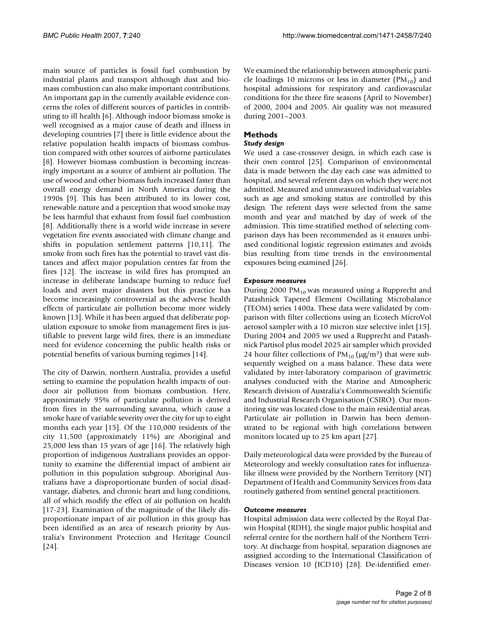main source of particles is fossil fuel combustion by industrial plants and transport although dust and biomass combustion can also make important contributions. An important gap in the currently available evidence concerns the roles of different sources of particles in contributing to ill health [6]. Although indoor biomass smoke is well recognised as a major cause of death and illness in developing countries [7] there is little evidence about the relative population health impacts of biomass combustion compared with other sources of airborne particulates [8]. However biomass combustion is becoming increasingly important as a source of ambient air pollution. The use of wood and other biomass fuels increased faster than overall energy demand in North America during the 1990s [9]. This has been attributed to its lower cost, renewable nature and a perception that wood smoke may be less harmful that exhaust from fossil fuel combustion [8]. Additionally there is a world wide increase in severe vegetation fire events associated with climate change and shifts in population settlement patterns [\[10](#page-6-0),11]. The smoke from such fires has the potential to travel vast distances and affect major population centres far from the fires [12]. The increase in wild fires has prompted an increase in deliberate landscape burning to reduce fuel loads and avert major disasters but this practice has become increasingly controversial as the adverse health effects of particulate air pollution become more widely known [13]. While it has been argued that deliberate population exposure to smoke from management fires is justifiable to prevent large wild fires, there is an immediate need for evidence concerning the public health risks or potential benefits of various burning regimes [14].

The city of Darwin, northern Australia, provides a useful setting to examine the population health impacts of outdoor air pollution from biomass combustion. Here, approximately 95% of particulate pollution is derived from fires in the surrounding savanna, which cause a smoke haze of variable severity over the city for up to eight months each year [15]. Of the 110,000 residents of the city 11,500 (approximately 11%) are Aboriginal and 25,000 less than 15 years of age [16]. The relatively high proportion of indigenous Australians provides an opportunity to examine the differential impact of ambient air pollution in this population subgroup. Aboriginal Australians have a disproportionate burden of social disadvantage, diabetes, and chronic heart and lung conditions, all of which modify the effect of air pollution on health [17-23]. Examination of the magnitude of the likely disproportionate impact of air pollution in this group has been identified as an area of research priority by Australia's Environment Protection and Heritage Council [24].

We examined the relationship between atmospheric particle loadings 10 microns or less in diameter  $(PM_{10})$  and hospital admissions for respiratory and cardiovascular conditions for the three fire seasons (April to November) of 2000, 2004 and 2005. Air quality was not measured during 2001–2003.

## **Methods**

### *Study design*

We used a case-crossover design, in which each case is their own control [\[25](#page-6-1)]. Comparison of environmental data is made between the day each case was admitted to hospital, and several referent days on which they were not admitted. Measured and unmeasured individual variables such as age and smoking status are controlled by this design. The referent days were selected from the same month and year and matched by day of week of the admission. This time-stratified method of selecting comparison days has been recommended as it ensures unbiased conditional logistic regression estimates and avoids bias resulting from time trends in the environmental exposures being examined [26].

### *Exposure measures*

During 2000  $PM_{10}$  was measured using a Rupprecht and Patashnick Tapered Element Oscillating Microbalance (TEOM) series 1400a. These data were validated by comparison with filter collections using an Ecotech MicroVol aerosol sampler with a 10 micron size selective inlet [15]. During 2004 and 2005 we used a Rupprecht and Patashnick Partisol plus model 2025 air sampler which provided 24 hour filter collections of  $PM_{10}$  ( $\mu$ g/m<sup>3</sup>) that were subsequently weighed on a mass balance. These data were validated by inter-laboratory comparison of gravimetric analyses conducted with the Marine and Atmospheric Research division of Australia's Commonwealth Scientific and Industrial Research Organisation (CSIRO). Our monitoring site was located close to the main residential areas. Particulate air pollution in Darwin has been demonstrated to be regional with high correlations between monitors located up to 25 km apart [27].

Daily meteorological data were provided by the Bureau of Meteorology and weekly consultation rates for influenzalike illness were provided by the Northern Territory (NT) Department of Health and Community Services from data routinely gathered from sentinel general practitioners.

#### *Outcome measures*

Hospital admission data were collected by the Royal Darwin Hospital (RDH), the single major public hospital and referral centre for the northern half of the Northern Territory. At discharge from hospital, separation diagnoses are assigned according to the International Classification of Diseases version 10 (ICD10) [28]. De-identified emer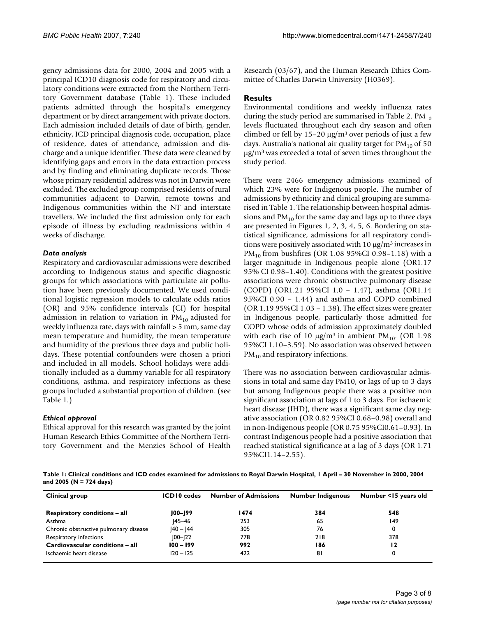gency admissions data for 2000, 2004 and 2005 with a principal ICD10 diagnosis code for respiratory and circulatory conditions were extracted from the Northern Territory Government database (Table 1). These included patients admitted through the hospital's emergency department or by direct arrangement with private doctors. Each admission included details of date of birth, gender, ethnicity, ICD principal diagnosis code, occupation, place of residence, dates of attendance, admission and discharge and a unique identifier. These data were cleaned by identifying gaps and errors in the data extraction process and by finding and eliminating duplicate records. Those whose primary residential address was not in Darwin were excluded. The excluded group comprised residents of rural communities adjacent to Darwin, remote towns and Indigenous communities within the NT and interstate travellers. We included the first admission only for each episode of illness by excluding readmissions within 4 weeks of discharge.

#### *Data analysis*

Respiratory and cardiovascular admissions were described according to Indigenous status and specific diagnostic groups for which associations with particulate air pollution have been previously documented. We used conditional logistic regression models to calculate odds ratios (OR) and 95% confidence intervals (CI) for hospital admission in relation to variation in  $PM_{10}$  adjusted for weekly influenza rate, days with rainfall > 5 mm, same day mean temperature and humidity, the mean temperature and humidity of the previous three days and public holidays. These potential confounders were chosen a priori and included in all models. School holidays were additionally included as a dummy variable for all respiratory conditions, asthma, and respiratory infections as these groups included a substantial proportion of children. (see Table 1.)

#### *Ethical approval*

Ethical approval for this research was granted by the joint Human Research Ethics Committee of the Northern Territory Government and the Menzies School of Health

Research (03/67), and the Human Research Ethics Committee of Charles Darwin University (H0369).

### **Results**

Environmental conditions and weekly influenza rates during the study period are summarised in Table 2.  $PM_{10}$ levels fluctuated throughout each dry season and often climbed or fell by  $15-20 \mu g/m^3$  over periods of just a few days. Australia's national air quality target for  $PM_{10}$  of 50 µg/m3 was exceeded a total of seven times throughout the study period.

There were 2466 emergency admissions examined of which 23% were for Indigenous people. The number of admissions by ethnicity and clinical grouping are summarised in Table 1. The relationship between hospital admissions and  $PM_{10}$  for the same day and lags up to three days are presented in Figures 1, 2, 3, 4, 5, 6. Bordering on statistical significance, admissions for all respiratory conditions were positively associated with  $10 \mu g/m^3$  increases in PM<sub>10</sub> from bushfires (OR 1.08 95%CI 0.98-1.18) with a larger magnitude in Indigenous people alone (OR1.17 95% CI 0.98–1.40). Conditions with the greatest positive associations were chronic obstructive pulmonary disease (COPD) (OR1.21 95%CI 1.0 – 1.47), asthma (OR1.14 95%CI 0.90 – 1.44) and asthma and COPD combined (OR 1.19 95%CI 1.03 – 1.38). The effect sizes were greater in Indigenous people, particularly those admitted for COPD whose odds of admission approximately doubled with each rise of 10  $\mu$ g/m<sup>3</sup> in ambient PM<sub>10</sub>. (OR 1.98) 95%CI 1.10–3.59). No association was observed between  $PM_{10}$  and respiratory infections.

There was no association between cardiovascular admissions in total and same day PM10, or lags of up to 3 days but among Indigenous people there was a positive non significant association at lags of 1 to 3 days. For ischaemic heart disease (IHD), there was a significant same day negative association (OR 0.82 95%CI 0.68–0.98) overall and in non-Indigenous people (OR 0.75 95%CI0.61–0.93). In contrast Indigenous people had a positive association that reached statistical significance at a lag of 3 days (OR 1.71 95%CI1.14–2.55).

**Table 1: Clinical conditions and ICD codes examined for admissions to Royal Darwin Hospital, 1 April – 30 November in 2000, 2004 and 2005 (N = 724 days)**

| Clinical group                        | ICD <sub>10</sub> codes | <b>Number of Admissions</b> | <b>Number Indigenous</b> | Number <15 years old |  |
|---------------------------------------|-------------------------|-----------------------------|--------------------------|----------------------|--|
| <b>Respiratory conditions – all</b>   | J00–J99                 | 1474                        | 384                      | 548                  |  |
| Asthma                                | $ 45 - 46 $             | 253                         | 65                       | 149                  |  |
| Chronic obstructive pulmonary disease | $ 40 - 44 $             | 305                         | 76                       |                      |  |
| Respiratory infections                | $ 00 - 22 $             | 778                         | 218                      | 378                  |  |
| Cardiovascular conditions - all       | $100 - 199$             | 992                         | 186                      | 12                   |  |
| Ischaemic heart disease               | $120 - 125$             | 422                         | 81                       |                      |  |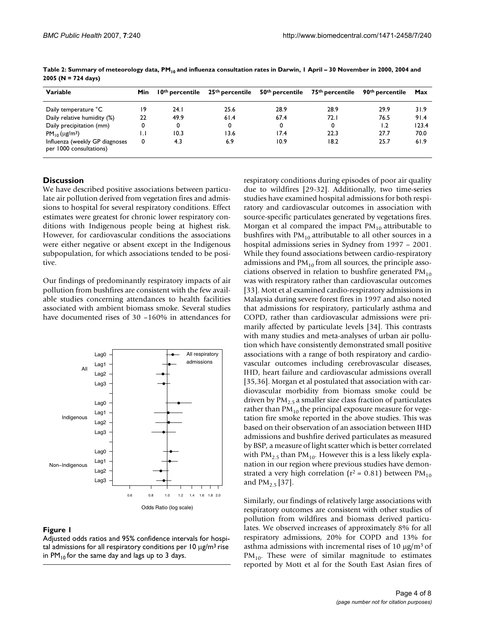| Variable                                                  | Min | 10 <sup>th</sup> percentile | 25 <sup>th</sup> percentile | 50 <sup>th</sup> percentile | 75th percentile | 90th percentile | Max   |
|-----------------------------------------------------------|-----|-----------------------------|-----------------------------|-----------------------------|-----------------|-----------------|-------|
| Daily temperature °C                                      | 19  | 24. I                       | 25.6                        | 28.9                        | 28.9            | 29.9            | 31.9  |
| Daily relative humidity (%)                               | 22  | 49.9                        | 61.4                        | 67.4                        | 72. I           | 76.5            | 91.4  |
| Daily precipitation (mm)                                  |     | 0                           | 0                           | 0                           | 0               | 1.2             | 123.4 |
| $PM_{10} (\mu g/m^3)$                                     | IJ  | 10.3                        | 13.6                        | 17.4                        | 22.3            | 27.7            | 70.0  |
| Influenza (weekly GP diagnoses<br>per 1000 consultations) | 0   | 4.3                         | 6.9                         | 10.9                        | 18.2            | 25.7            | 61.9  |

Table 2: Summary of meteorology data, PM<sub>10</sub> and influenza consultation rates in Darwin, 1 April – 30 November in 2000, 2004 and **2005 (N = 724 days)**

#### **Discussion**

We have described positive associations between particulate air pollution derived from vegetation fires and admissions to hospital for several respiratory conditions. Effect estimates were greatest for chronic lower respiratory conditions with Indigenous people being at highest risk. However, for cardiovascular conditions the associations were either negative or absent except in the Indigenous subpopulation, for which associations tended to be positive.

Our findings of predominantly respiratory impacts of air pollution from bushfires are consistent with the few available studies concerning attendances to health facilities associated with ambient biomass smoke. Several studies have documented rises of 30 –160% in attendances for



Adjusted odds ratios and 95% confidence intervals for hospi- tal admissions for all respiratory conditions per 10 µg/m3 in PM rise 10 **Figure 1**for the same day and lags up to 3 days Adjusted odds ratios and 95% confidence intervals for hospital admissions for all respiratory conditions per  $10 \mu g/m^3$  rise in PM<sub>10</sub> for the same day and lags up to 3 days.

respiratory conditions during episodes of poor air quality due to wildfires [29-32]. Additionally, two time-series studies have examined hospital admissions for both respiratory and cardiovascular outcomes in association with source-specific particulates generated by vegetations fires. Morgan et al compared the impact  $PM_{10}$  attributable to bushfires with  $PM_{10}$  attributable to all other sources in a hospital admissions series in Sydney from 1997 – 2001. While they found associations between cardio-respiratory admissions and  $PM_{10}$  from all sources, the principle associations observed in relation to bushfire generated  $PM_{10}$ was with respiratory rather than cardiovascular outcomes [33]. Mott et al examined cardio-respiratory admissions in Malaysia during severe forest fires in 1997 and also noted that admissions for respiratory, particularly asthma and COPD, rather than cardiovascular admissions were primarily affected by particulate levels [34]. This contrasts with many studies and meta-analyses of urban air pollution which have consistently demonstrated small positive associations with a range of both respiratory and cardiovascular outcomes including cerebrovascular diseases, IHD, heart failure and cardiovascular admissions overall [35,36]. Morgan et al postulated that association with cardiovascular morbidity from biomass smoke could be driven by  $PM<sub>2.5</sub>$  a smaller size class fraction of particulates rather than  $PM_{10}$  the principal exposure measure for vegetation fire smoke reported in the above studies. This was based on their observation of an association between IHD admissions and bushfire derived particulates as measured by BSP, a measure of light scatter which is better correlated with PM<sub>2.5</sub> than PM<sub>10</sub>. However this is a less likely explanation in our region where previous studies have demonstrated a very high correlation ( $r^2$  = 0.81) between PM<sub>10</sub> and  $PM_{2.5}$  [37].

Similarly, our findings of relatively large associations with respiratory outcomes are consistent with other studies of pollution from wildfires and biomass derived particulates. We observed increases of approximately 8% for all respiratory admissions, 20% for COPD and 13% for asthma admissions with incremental rises of 10  $\mu$ g/m<sup>3</sup> of  $PM_{10}$ . These were of similar magnitude to estimates reported by Mott et al for the South East Asian fires of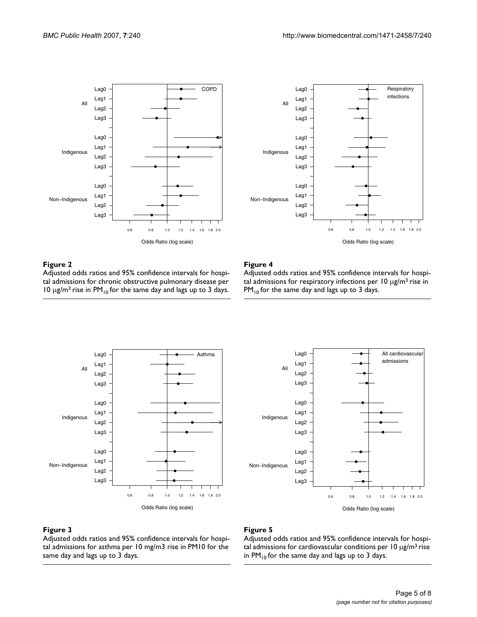



#### Figure 2

Adjusted odds ratios and 95% confidence intervals for hospital admissions for chronic obstructive pulmonary disease per 10  $\mu$ g/m<sup>3</sup> rise in PM<sub>10</sub> for the same day and lags up to 3 days.

#### Figure 4

Adjusted odds ratios and 95% confidence intervals for hospital admissions for respiratory infections per  $10 \mu g/m^3$  rise in  $PM_{10}$  for the same day and lags up to 3 days.





Adjusted odds ratios and 95% confidence intervals for hospi- tal admissions for chronic obst 10 µg/m ructive pulmonary disease per 3 rise in PM10 **Figure 3** for the same day and lags up to 3 days Adjusted odds ratios and 95% confidence intervals for hospital admissions for asthma per 10 mg/m3 rise in PM10 for the same day and lags up to 3 days.

Adjusted odds ratios and 95% tal admissions for cardiovascular conditions per 10 confidence intervals for hospi- µg/m3 in PM rise 10 **Figure 5**for the same day and lags up to 3 days Adjusted odds ratios and 95% confidence intervals for hospital admissions for cardiovascular conditions per  $10 \mu g/m^3$  rise in PM<sub>10</sub> for the same day and lags up to 3 days.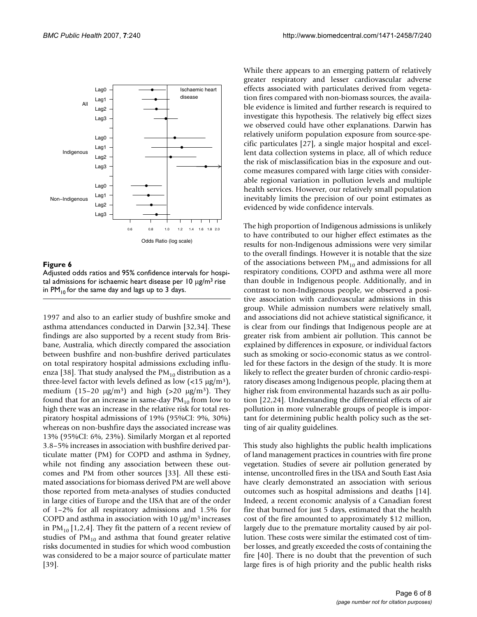

#### Figure 6

Adjusted odds ratios and 95% confidence intervals for hospital admissions for ischaemic heart disease per  $10 \mu g/m^3$  rise in PM<sub>10</sub> for the same day and lags up to 3 days.

1997 and also to an earlier study of bushfire smoke and asthma attendances conducted in Darwin [32,34]. These findings are also supported by a recent study from Brisbane, Australia, which directly compared the association between bushfire and non-bushfire derived particulates on total respiratory hospital admissions excluding influenza [38]. That study analysed the  $PM_{10}$  distribution as a three-level factor with levels defined as low  $\left($ <15 µg/m<sup>3</sup>), medium (15–20  $\mu$ g/m<sup>3</sup>) and high (>20  $\mu$ g/m<sup>3</sup>). They found that for an increase in same-day  $PM_{10}$  from low to high there was an increase in the relative risk for total respiratory hospital admissions of 19% (95%CI: 9%, 30%) whereas on non-bushfire days the associated increase was 13% (95%CI: 6%, 23%). Similarly Morgan et al reported 3.8–5% increases in association with bushfire derived particulate matter (PM) for COPD and asthma in Sydney, while not finding any association between these outcomes and PM from other sources [33]. All these estimated associations for biomass derived PM are well above those reported from meta-analyses of studies conducted in large cities of Europe and the USA that are of the order of 1–2% for all respiratory admissions and 1.5% for COPD and asthma in association with  $10 \mu g/m^3$  increases in  $PM_{10}$  [1,2,4]. They fit the pattern of a recent review of studies of  $PM_{10}$  and asthma that found greater relative risks documented in studies for which wood combustion was considered to be a major source of particulate matter [39].

While there appears to an emerging pattern of relatively greater respiratory and lesser cardiovascular adverse effects associated with particulates derived from vegetation fires compared with non-biomass sources, the available evidence is limited and further research is required to investigate this hypothesis. The relatively big effect sizes we observed could have other explanations. Darwin has relatively uniform population exposure from source-specific particulates [27], a single major hospital and excellent data collection systems in place, all of which reduce the risk of misclassification bias in the exposure and outcome measures compared with large cities with considerable regional variation in pollution levels and multiple health services. However, our relatively small population inevitably limits the precision of our point estimates as evidenced by wide confidence intervals.

The high proportion of Indigenous admissions is unlikely to have contributed to our higher effect estimates as the results for non-Indigenous admissions were very similar to the overall findings. However it is notable that the size of the associations between  $PM_{10}$  and admissions for all respiratory conditions, COPD and asthma were all more than double in Indigenous people. Additionally, and in contrast to non-Indigenous people, we observed a positive association with cardiovascular admissions in this group. While admission numbers were relatively small, and associations did not achieve statistical significance, it is clear from our findings that Indigenous people are at greater risk from ambient air pollution. This cannot be explained by differences in exposure, or individual factors such as smoking or socio-economic status as we controlled for these factors in the design of the study. It is more likely to reflect the greater burden of chronic cardio-respiratory diseases among Indigenous people, placing them at higher risk from environmental hazards such as air pollution [22,24]. Understanding the differential effects of air pollution in more vulnerable groups of people is important for determining public health policy such as the setting of air quality guidelines.

This study also highlights the public health implications of land management practices in countries with fire prone vegetation. Studies of severe air pollution generated by intense, uncontrolled fires in the USA and South East Asia have clearly demonstrated an association with serious outcomes such as hospital admissions and deaths [14]. Indeed, a recent economic analysis of a Canadian forest fire that burned for just 5 days, estimated that the health cost of the fire amounted to approximately \$12 million, largely due to the premature mortality caused by air pollution. These costs were similar the estimated cost of timber losses, and greatly exceeded the costs of containing the fire [40]. There is no doubt that the prevention of such large fires is of high priority and the public health risks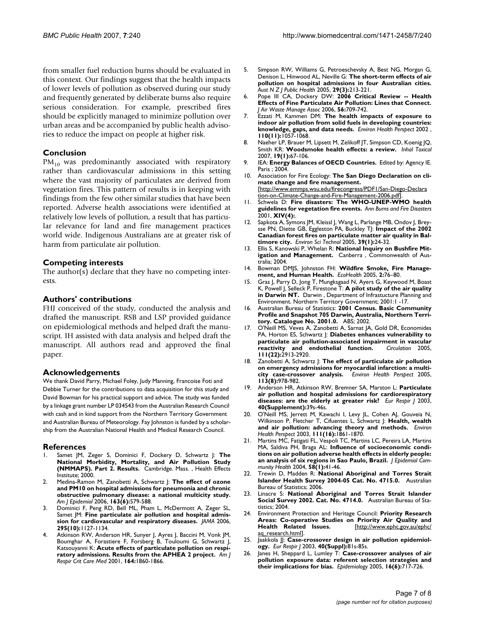from smaller fuel reduction burns should be evaluated in this context. Our findings suggest that the health impacts of lower levels of pollution as observed during our study and frequently generated by deliberate burns also require serious consideration. For example, prescribed fires should be explicitly managed to minimize pollution over urban areas and be accompanied by public health advisories to reduce the impact on people at higher risk.

#### **Conclusion**

 $PM_{10}$  was predominantly associated with respiratory rather than cardiovascular admissions in this setting where the vast majority of particulates are derived from vegetation fires. This pattern of results is in keeping with findings from the few other similar studies that have been reported. Adverse health associations were identified at relatively low levels of pollution, a result that has particular relevance for land and fire management practices world wide. Indigenous Australians are at greater risk of harm from particulate air pollution.

#### **Competing interests**

The author(s) declare that they have no competing interests.

#### **Authors' contributions**

FHJ conceived of the study, conducted the analysis and drafted the manuscript. RSB and LSP provided guidance on epidemiological methods and helped draft the manuscript. IH assisted with data analysis and helped draft the manuscript. All authors read and approved the final paper.

#### **Acknowledgements**

We thank David Parry, Michael Foley, Judy Manning, Francoise Foti and Debbie Turner for the contributions to data acquisition for this study and David Bowman for his practical support and advice. The study was funded by a linkage grant number LP 034543 from the Australian Research Council with cash and in kind support from the Northern Territory Government and Australian Bureau of Meteorology. Fay Johnston is funded by a scholarship from the Australian National Health and Medical Research Council.

#### **References**

- Samet JM, Zeger S, Dominici F, Dockery D, Schwartz J: The **National Morbidity, Mortality, and Air Pollution Study (NMMAPS). Part 2. Results.** Cambridge. Mass. , Health Effects Institute; 2000.
- 2. Medina-Ramon M, Zanobetti A, Schwartz J: **[The effect of ozone](http://www.ncbi.nlm.nih.gov/entrez/query.fcgi?cmd=Retrieve&db=PubMed&dopt=Abstract&list_uids=16443803) and PM10 on hospital admissions for pneumonia and chronic [obstructive pulmonary disease: a national multicity study.](http://www.ncbi.nlm.nih.gov/entrez/query.fcgi?cmd=Retrieve&db=PubMed&dopt=Abstract&list_uids=16443803)** *Am J Epidemiol* 2006, **163(6):**579-588.
- 3. Dominici F, Peng RD, Bell ML, Pham L, McDermott A, Zeger SL, Samet JM: **[Fine particulate air pollution and hospital admis](http://www.ncbi.nlm.nih.gov/entrez/query.fcgi?cmd=Retrieve&db=PubMed&dopt=Abstract&list_uids=16522832)[sion for cardiovascular and respiratory diseases.](http://www.ncbi.nlm.nih.gov/entrez/query.fcgi?cmd=Retrieve&db=PubMed&dopt=Abstract&list_uids=16522832)** *JAMA* 2006, **295(10):**1127-1134.
- 4. Atkinson RW, Anderson HR, Sunyer J, Ayres J, Baccini M, Vonk JM, Boumghar A, Forastiere F, Forsberg B, Touloumi G, Schwartz J, Katsouyanni K: **[Acute effects of particulate pollution on respi](http://www.ncbi.nlm.nih.gov/entrez/query.fcgi?cmd=Retrieve&db=PubMed&dopt=Abstract&list_uids=11734437)[ratory admissions. Results from the APHEA 2 project.](http://www.ncbi.nlm.nih.gov/entrez/query.fcgi?cmd=Retrieve&db=PubMed&dopt=Abstract&list_uids=11734437)** *Am J Respir Crit Care Med* 2001, **164:**1860-1866.
- 5. Simpson RW, Williams G, Petroeschevsky A, Best NG, Morgan G, Denison L, Hinwood AL, Neville G: **[The short-term effects of air](http://www.ncbi.nlm.nih.gov/entrez/query.fcgi?cmd=Retrieve&db=PubMed&dopt=Abstract&list_uids=15991768) [pollution on hospital admissions in four Australian cities.](http://www.ncbi.nlm.nih.gov/entrez/query.fcgi?cmd=Retrieve&db=PubMed&dopt=Abstract&list_uids=15991768)** *Aust N Z J Public Health* 2005, **29(3):**213-221.
- 6. Pope III CA, Dockery DW: **2006 Critical Review -- Health Effects of Fine Particulate Air Pollution: Lines that Connect.** *J Air Waste Manage Assoc* 2006, **56:**709-742.
- 7. Ezzati M, Kammen DM: **[The health impacts of exposure to](http://www.ncbi.nlm.nih.gov/entrez/query.fcgi?cmd=Retrieve&db=PubMed&dopt=Abstract&list_uids=12417475) [indoor air pollution from solid fuels in developing countries:](http://www.ncbi.nlm.nih.gov/entrez/query.fcgi?cmd=Retrieve&db=PubMed&dopt=Abstract&list_uids=12417475) [knowledge, gaps, and data needs.](http://www.ncbi.nlm.nih.gov/entrez/query.fcgi?cmd=Retrieve&db=PubMed&dopt=Abstract&list_uids=12417475)** *Environ Health Perspect* 2002 , **110(11):**1057-1068.
- 8. Naeher LP, Brauer M, Lipsett M, Zelikoff JT, Simpson CD, Koenig JQ, Smith KR: **[Woodsmoke health effects: a review.](http://www.ncbi.nlm.nih.gov/entrez/query.fcgi?cmd=Retrieve&db=PubMed&dopt=Abstract&list_uids=17127644)** *Inhal Toxicol* 2007, **19(1):**67-106.
- 9. IEA: **Energy Balances of OECD Countries.** Edited by: Agency IE. Paris ; 2004.
- <span id="page-6-0"></span>10. Association for Fire Ecology: **The San Diego Declaration on climate change and fire management.** [[http://www.emmps.wsu.edu/firecongress/PDF1/San-Diego-Declara](http://emmps.wsu.edu/firecongress/PDF1/San-Diego-Decloration-on-Climate-Change-and-Fire-Management-2006.pdf) [tion-on-Climate-Change-and-Fire-Management-2006.pdf\]](http://emmps.wsu.edu/firecongress/PDF1/San-Diego-Decloration-on-Climate-Change-and-Fire-Management-2006.pdf).
- 11. Schwela D: **Fire disasters: The WHO-UNEP-WMO health guidelines for vegetation fire events.** *Ann Burns and Fire Disasters* 2001, **XIV(4):**.
- 12. Sapkota A, Symons JM, Kleissl J, Wang L, Parlange MB, Ondov J, Breysse PN, Diette GB, Eggleston PA, Buckley TJ: **[Impact of the 2002](http://www.ncbi.nlm.nih.gov/entrez/query.fcgi?cmd=Retrieve&db=PubMed&dopt=Abstract&list_uids=15667071) [Canadian forest fires on particulate matter air quality in Bal](http://www.ncbi.nlm.nih.gov/entrez/query.fcgi?cmd=Retrieve&db=PubMed&dopt=Abstract&list_uids=15667071)[timore city.](http://www.ncbi.nlm.nih.gov/entrez/query.fcgi?cmd=Retrieve&db=PubMed&dopt=Abstract&list_uids=15667071)** *Environ Sci Technol* 2005, **39(1):**24-32.
- 13. Ellis S, Kanowski P, Whelan R: **National Inquiry on Bushfire Mitigation and Management.** Canberra , Commonwealth of Australia; 2004.
- 14. Bowman DMJS, Johnston FH: **Wildfire Smoke, Fire Management, and Human Health.** *EcoHealth* 2005, **2:**76–80.
- 15. Gras J, Parry D, Jong T, Mungksgaad N, Ayers G, Keywood M, Boast K, Powell J, Selleck P, Firestone T: **A pilot study of the air quality in Darwin NT.** Darwin , Department of Infrastucture Planning and Environment. Northern Territory Government; 2001:1 -17.
- 16. Australian Bureau of Statistics: **2001 Census. Basic Community Profile and Snapshot 705 Darwin, Australia, Northern Territory. Catalogue No. 2001.0.** ABS; 2002.
- 17. O'Neill MS, Veves A, Zanobetti A, Sarnat JA, Gold DR, Economides PA, Horton ES, Schwartz J: **[Diabetes enhances vulnerability to](http://www.ncbi.nlm.nih.gov/entrez/query.fcgi?cmd=Retrieve&db=PubMed&dopt=Abstract&list_uids=15927967) [particulate air pollution-associated impairment in vascular](http://www.ncbi.nlm.nih.gov/entrez/query.fcgi?cmd=Retrieve&db=PubMed&dopt=Abstract&list_uids=15927967)** [reactivity and endothelial function.](http://www.ncbi.nlm.nih.gov/entrez/query.fcgi?cmd=Retrieve&db=PubMed&dopt=Abstract&list_uids=15927967) **111(22):**2913-2920.
- 18. Zanobetti A, Schwartz J: **[The effect of particulate air pollution](http://www.ncbi.nlm.nih.gov/entrez/query.fcgi?cmd=Retrieve&db=PubMed&dopt=Abstract&list_uids=16079066)** on emergency admissions for myocardial infarction: a multi-<br>
city case-crossover analysis. Environ Health Perspect 2005, [city case-crossover analysis.](http://www.ncbi.nlm.nih.gov/entrez/query.fcgi?cmd=Retrieve&db=PubMed&dopt=Abstract&list_uids=16079066) **113(8):**978-982.
- 19. Anderson HR, Atkinson RW, Bremner SA, Marston L: **[Particulate](http://erj.ersjournals.com/cgi/content/abstract/21/40_Suppl/39S) [air pollution and hospital admissions for cardiorespiratory](http://erj.ersjournals.com/cgi/content/abstract/21/40_Suppl/39S) [diseases: are the elderly at greater risk?](http://erj.ersjournals.com/cgi/content/abstract/21/40_Suppl/39S)** *Eur Respir J* 2003, **40(Supplement):**39s-46s.
- 20. O'Neill MS, Jerrett M, Kawachi I, Levy JL, Cohen AJ, Gouveia N, Wilkinson P, Fletcher T, Cifuentes L, Schwartz J: **[Health, wealth](http://www.ncbi.nlm.nih.gov/entrez/query.fcgi?cmd=Retrieve&db=PubMed&dopt=Abstract&list_uids=14644658) [and air pollution: advancing theory and methods.](http://www.ncbi.nlm.nih.gov/entrez/query.fcgi?cmd=Retrieve&db=PubMed&dopt=Abstract&list_uids=14644658)** *Environ Health Perspect* 2003, **111(16):**1861-1870.
- 21. Martins MC, Fatigati FL, Vespoli TC, Martins LC, Pereira LA, Martins MA, Saldiva PH, Braga AL: **[Influence of socioeconomic condi](http://www.ncbi.nlm.nih.gov/entrez/query.fcgi?cmd=Retrieve&db=PubMed&dopt=Abstract&list_uids=14684725)[tions on air pollution adverse health effects in elderly people:](http://www.ncbi.nlm.nih.gov/entrez/query.fcgi?cmd=Retrieve&db=PubMed&dopt=Abstract&list_uids=14684725) [an analysis of six regions in Sao Paulo, Brazil.](http://www.ncbi.nlm.nih.gov/entrez/query.fcgi?cmd=Retrieve&db=PubMed&dopt=Abstract&list_uids=14684725)** *J Epidemiol Community Health* 2004, **58(1):**41-46.
- 22. Trewin D, Madden R: **National Aboriginal and Torres Strait Islander Health Survey 2004-05 Cat. No. 4715.0.** Australian Bureau of Statistics; 2006.
- 23. Linacre S: **National Aboriginal and Torres Strait Islander Social Survey 2002. Cat. No. 4714.0.** Australian Bureau of Statistics; 2004.
- 24. Environment Protection and Heritage Council: **Priority Research Areas: Co-operative Studies on Priority Air Quality and Health Related Issues.** [http://www.ephc.gov.au/ephc/ [\[http://www.ephc.gov.au/ephc/](http://www.ephc.gov.au/ephc/aq_research.html) [aq\\_research.html\]](http://www.ephc.gov.au/ephc/aq_research.html).
- <span id="page-6-1"></span>25. Jaakkola JJ: **[Case-crossover design in air pollution epidemiol](http://erj.ersjournals.com/cgi/content/abstract/21/40_Suppl/81S)[ogy.](http://erj.ersjournals.com/cgi/content/abstract/21/40_Suppl/81S)** *Eur Respir J* 2003, **40(Suppl):**81s-85s.
- 26. Janes H, Sheppard L, Lumley T: **[Case-crossover analyses of air](http://www.ncbi.nlm.nih.gov/entrez/query.fcgi?cmd=Retrieve&db=PubMed&dopt=Abstract&list_uids=16222160) [pollution exposure data: referent selection strategies and](http://www.ncbi.nlm.nih.gov/entrez/query.fcgi?cmd=Retrieve&db=PubMed&dopt=Abstract&list_uids=16222160) [their implications for bias.](http://www.ncbi.nlm.nih.gov/entrez/query.fcgi?cmd=Retrieve&db=PubMed&dopt=Abstract&list_uids=16222160)** *Epidemiology* 2005, **16(6):**717-726.